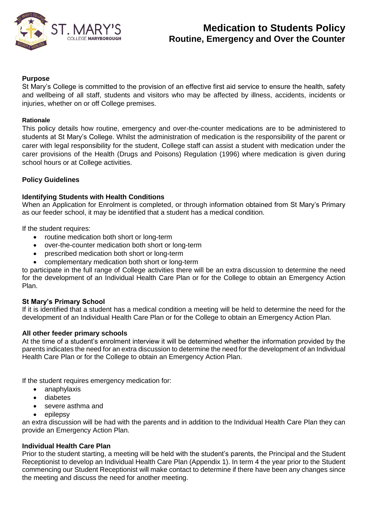

#### **Purpose**

St Mary's College is committed to the provision of an effective first aid service to ensure the health, safety and wellbeing of all staff, students and visitors who may be affected by illness, accidents, incidents or injuries, whether on or off College premises.

#### **Rationale**

This policy details how routine, emergency and over-the-counter medications are to be administered to students at St Mary's College. Whilst the administration of medication is the responsibility of the parent or carer with legal responsibility for the student, College staff can assist a student with medication under the carer provisions of the Health (Drugs and Poisons) Regulation (1996) where medication is given during school hours or at College activities.

### **Policy Guidelines**

#### **Identifying Students with Health Conditions**

When an Application for Enrolment is completed, or through information obtained from St Mary's Primary as our feeder school, it may be identified that a student has a medical condition.

If the student requires:

- routine medication both short or long-term
- over-the-counter medication both short or long-term
- prescribed medication both short or long-term
- complementary medication both short or long-term

to participate in the full range of College activities there will be an extra discussion to determine the need for the development of an Individual Health Care Plan or for the College to obtain an Emergency Action Plan.

#### **St Mary's Primary School**

If it is identified that a student has a medical condition a meeting will be held to determine the need for the development of an Individual Health Care Plan or for the College to obtain an Emergency Action Plan.

#### **All other feeder primary schools**

At the time of a student's enrolment interview it will be determined whether the information provided by the parents indicates the need for an extra discussion to determine the need for the development of an Individual Health Care Plan or for the College to obtain an Emergency Action Plan.

If the student requires emergency medication for:

- anaphylaxis
- diabetes
- severe asthma and
- epilepsy

an extra discussion will be had with the parents and in addition to the Individual Health Care Plan they can provide an Emergency Action Plan.

#### **Individual Health Care Plan**

Prior to the student starting, a meeting will be held with the student's parents, the Principal and the Student Receptionist to develop an Individual Health Care Plan (Appendix 1). In term 4 the year prior to the Student commencing our Student Receptionist will make contact to determine if there have been any changes since the meeting and discuss the need for another meeting.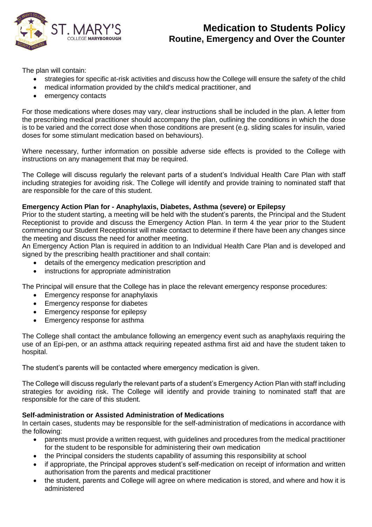

The plan will contain:

- strategies for specific at-risk activities and discuss how the College will ensure the safety of the child
- medical information provided by the child's medical practitioner, and
- emergency contacts

For those medications where doses may vary, clear instructions shall be included in the plan. A letter from the prescribing medical practitioner should accompany the plan, outlining the conditions in which the dose is to be varied and the correct dose when those conditions are present (e.g. sliding scales for insulin, varied doses for some stimulant medication based on behaviours).

Where necessary, further information on possible adverse side effects is provided to the College with instructions on any management that may be required.

The College will discuss regularly the relevant parts of a student's Individual Health Care Plan with staff including strategies for avoiding risk. The College will identify and provide training to nominated staff that are responsible for the care of this student.

### **Emergency Action Plan for - Anaphylaxis, Diabetes, Asthma (severe) or Epilepsy**

Prior to the student starting, a meeting will be held with the student's parents, the Principal and the Student Receptionist to provide and discuss the Emergency Action Plan. In term 4 the year prior to the Student commencing our Student Receptionist will make contact to determine if there have been any changes since the meeting and discuss the need for another meeting.

An Emergency Action Plan is required in addition to an Individual Health Care Plan and is developed and signed by the prescribing health practitioner and shall contain:

- details of the emergency medication prescription and
- instructions for appropriate administration

The Principal will ensure that the College has in place the relevant emergency response procedures:

- Emergency response for anaphylaxis
- Emergency response for diabetes
- Emergency response for epilepsy
- Emergency response for asthma

The College shall contact the ambulance following an emergency event such as anaphylaxis requiring the use of an Epi-pen, or an asthma attack requiring repeated asthma first aid and have the student taken to hospital.

The student's parents will be contacted where emergency medication is given.

The College will discuss regularly the relevant parts of a student's Emergency Action Plan with staff including strategies for avoiding risk. The College will identify and provide training to nominated staff that are responsible for the care of this student.

### **Self-administration or Assisted Administration of Medications**

In certain cases, students may be responsible for the self-administration of medications in accordance with the following:

- parents must provide a written request, with guidelines and procedures from the medical practitioner for the student to be responsible for administering their own medication
- the Principal considers the students capability of assuming this responsibility at school
- if appropriate, the Principal approves student's self-medication on receipt of information and written authorisation from the parents and medical practitioner
- the student, parents and College will agree on where medication is stored, and where and how it is administered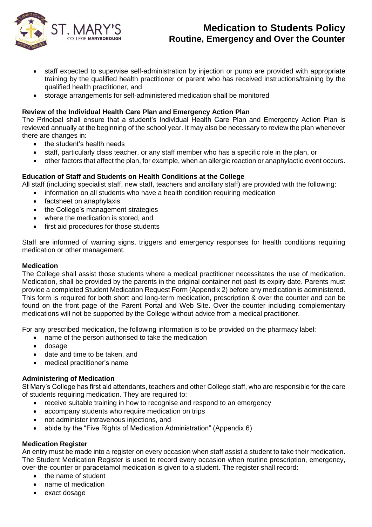

- staff expected to supervise self-administration by injection or pump are provided with appropriate training by the qualified health practitioner or parent who has received instructions/training by the qualified health practitioner, and
- storage arrangements for self-administered medication shall be monitored

## **Review of the Individual Health Care Plan and Emergency Action Plan**

The Principal shall ensure that a student's Individual Health Care Plan and Emergency Action Plan is reviewed annually at the beginning of the school year. It may also be necessary to review the plan whenever there are changes in:

- the student's health needs
- staff, particularly class teacher, or any staff member who has a specific role in the plan, or
- other factors that affect the plan, for example, when an allergic reaction or anaphylactic event occurs.

## **Education of Staff and Students on Health Conditions at the College**

All staff (including specialist staff, new staff, teachers and ancillary staff) are provided with the following:

- information on all students who have a health condition requiring medication
- factsheet on anaphylaxis
- the College's management strategies
- where the medication is stored, and
- first aid procedures for those students

Staff are informed of warning signs, triggers and emergency responses for health conditions requiring medication or other management.

#### **Medication**

The College shall assist those students where a medical practitioner necessitates the use of medication. Medication, shall be provided by the parents in the original container not past its expiry date. Parents must provide a completed Student Medication Request Form (Appendix 2) before any medication is administered. This form is required for both short and long-term medication, prescription & over the counter and can be found on the front page of the Parent Portal and Web Site. Over-the-counter including complementary medications will not be supported by the College without advice from a medical practitioner.

For any prescribed medication, the following information is to be provided on the pharmacy label:

- name of the person authorised to take the medication
	- dosage
	- date and time to be taken, and
	- medical practitioner's name

### **Administering of Medication**

St Mary's College has first aid attendants, teachers and other College staff, who are responsible for the care of students requiring medication. They are required to:

- receive suitable training in how to recognise and respond to an emergency
- accompany students who require medication on trips
- not administer intravenous injections, and
- abide by the "Five Rights of Medication Administration" (Appendix 6)

### **Medication Register**

An entry must be made into a register on every occasion when staff assist a student to take their medication. The Student Medication Register is used to record every occasion when routine prescription, emergency, over-the-counter or paracetamol medication is given to a student. The register shall record:

- the name of student
- name of medication
- exact dosage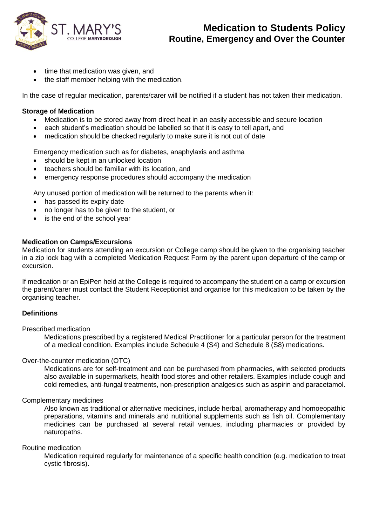

- time that medication was given, and
- the staff member helping with the medication.

In the case of regular medication, parents/carer will be notified if a student has not taken their medication.

#### **Storage of Medication**

- Medication is to be stored away from direct heat in an easily accessible and secure location
- each student's medication should be labelled so that it is easy to tell apart, and
- medication should be checked regularly to make sure it is not out of date

Emergency medication such as for diabetes, anaphylaxis and asthma

- should be kept in an unlocked location
- teachers should be familiar with its location, and
- emergency response procedures should accompany the medication

Any unused portion of medication will be returned to the parents when it:

- has passed its expiry date
- no longer has to be given to the student, or
- is the end of the school year

#### **Medication on Camps/Excursions**

Medication for students attending an excursion or College camp should be given to the organising teacher in a zip lock bag with a completed Medication Request Form by the parent upon departure of the camp or excursion.

If medication or an EpiPen held at the College is required to accompany the student on a camp or excursion the parent/carer must contact the Student Receptionist and organise for this medication to be taken by the organising teacher.

### **Definitions**

Prescribed medication

Medications prescribed by a registered Medical Practitioner for a particular person for the treatment of a medical condition. Examples include Schedule 4 (S4) and Schedule 8 (S8) medications.

#### Over-the-counter medication (OTC)

Medications are for self-treatment and can be purchased from pharmacies, with selected products also available in supermarkets, health food stores and other retailers. Examples include cough and cold remedies, anti-fungal treatments, non-prescription analgesics such as aspirin and paracetamol.

#### Complementary medicines

Also known as traditional or alternative medicines, include herbal, aromatherapy and homoeopathic preparations, vitamins and minerals and nutritional supplements such as fish oil. Complementary medicines can be purchased at several retail venues, including pharmacies or provided by naturopaths.

#### Routine medication

Medication required regularly for maintenance of a specific health condition (e.g. medication to treat cystic fibrosis).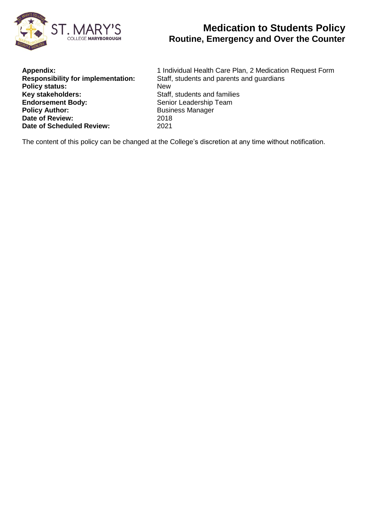

| 1 Ind        |
|--------------|
| Staff.       |
| <b>New</b>   |
| Staff.       |
| Senio        |
| <b>Busir</b> |
| 2018         |
| 2021         |
|              |

**Appendix:** 1 Individual Health Care Plan, 2 Medication Request Form Staff, students and parents and guardians **Staff, students and families Senior Leadership Team Policy Author:** Business Manager **Date of Review:** 2018

The content of this policy can be changed at the College's discretion at any time without notification.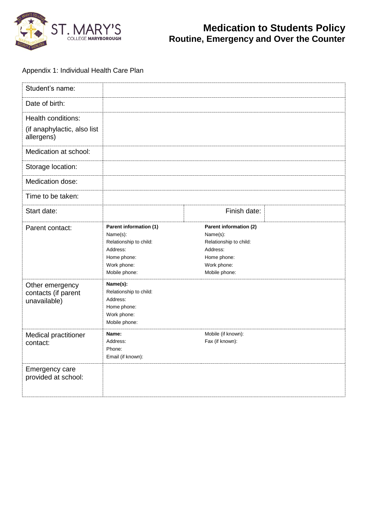

## Appendix 1: Individual Health Care Plan

| Student's name:                                                 |                                                                                                                         |                                                                                                                         |  |
|-----------------------------------------------------------------|-------------------------------------------------------------------------------------------------------------------------|-------------------------------------------------------------------------------------------------------------------------|--|
| Date of birth:                                                  |                                                                                                                         |                                                                                                                         |  |
| Health conditions:<br>(if anaphylactic, also list<br>allergens) |                                                                                                                         |                                                                                                                         |  |
| Medication at school:                                           |                                                                                                                         |                                                                                                                         |  |
| Storage location:                                               |                                                                                                                         |                                                                                                                         |  |
| Medication dose:                                                |                                                                                                                         |                                                                                                                         |  |
| Time to be taken:                                               |                                                                                                                         |                                                                                                                         |  |
| Start date:                                                     |                                                                                                                         | Finish date:                                                                                                            |  |
| Parent contact:                                                 | Parent information (1)<br>Name(s):<br>Relationship to child:<br>Address:<br>Home phone:<br>Work phone:<br>Mobile phone: | Parent information (2)<br>Name(s):<br>Relationship to child:<br>Address:<br>Home phone:<br>Work phone:<br>Mobile phone: |  |
| Other emergency<br>contacts (if parent<br>unavailable)          | Name(s):<br>Relationship to child:<br>Address:<br>Home phone:<br>Work phone:<br>Mobile phone:                           |                                                                                                                         |  |
| Medical practitioner<br>contact:                                | Name:<br>Address:<br>Phone:<br>Email (if known):                                                                        | Mobile (if known):<br>Fax (if known):                                                                                   |  |
| Emergency care<br>provided at school:                           |                                                                                                                         |                                                                                                                         |  |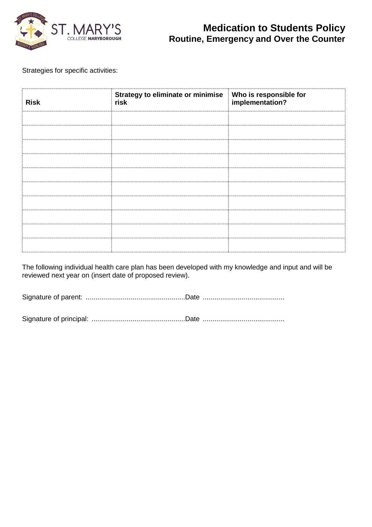

Strategies for specific activities:

| <b>Risk</b> | <b>Strategy to eliminate or minimise</b><br>Who is responsible for<br>implementation?<br>risk |  |  |
|-------------|-----------------------------------------------------------------------------------------------|--|--|
|             |                                                                                               |  |  |
|             |                                                                                               |  |  |
|             |                                                                                               |  |  |
|             |                                                                                               |  |  |
|             |                                                                                               |  |  |
|             |                                                                                               |  |  |

The following individual health care plan has been developed with my knowledge and input and will be reviewed next year on (insert date of proposed review).

Signature of parent: ...................................................Date ..........................................

Signature of principal: ................................................Date ..........................................